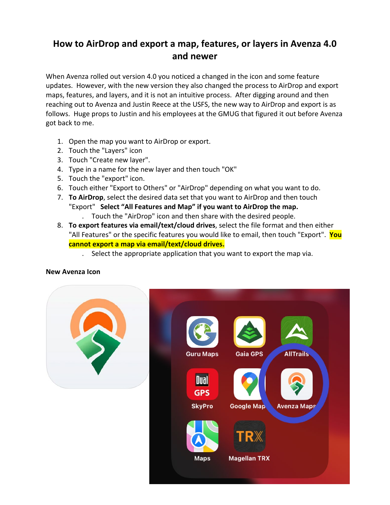## **How to AirDrop and export a map, features, or layers in Avenza 4.0 and newer**

When Avenza rolled out version 4.0 you noticed a changed in the icon and some feature updates. However, with the new version they also changed the process to AirDrop and export maps, features, and layers, and it is not an intuitive process. After digging around and then reaching out to Avenza and Justin Reece at the USFS, the new way to AirDrop and export is as follows. Huge props to Justin and his employees at the GMUG that figured it out before Avenza got back to me.

- 1. Open the map you want to AirDrop or export.
- 2. Touch the "Layers" icon
- 3. Touch "Create new layer".
- 4. Type in a name for the new layer and then touch "OK"
- 5. Touch the "export" icon.
- 6. Touch either "Export to Others" or "AirDrop" depending on what you want to do.
- 7. **To AirDrop**, select the desired data set that you want to AirDrop and then touch "Export" **Select "All Features and Map" if you want to AirDrop the map.** 
	- . Touch the "AirDrop" icon and then share with the desired people.
- 8. **To export features via email/text/cloud drives**, select the file format and then either "All Features" or the specific features you would like to email, then touch "Export". **You cannot export a map via email/text/cloud drives.**
	- . Select the appropriate application that you want to export the map via.

## **New Avenza Icon**

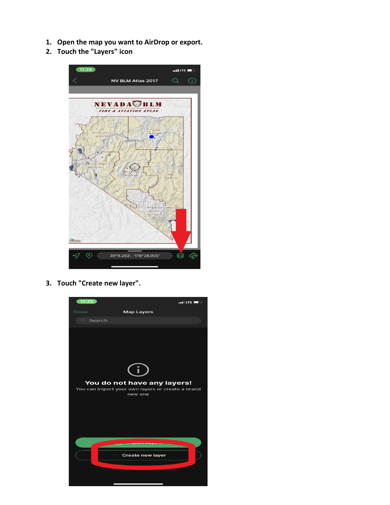- **1. Open the map you want to AirDrop or export.**
- **2. Touch the "Layers" icon**



**3. Touch "Create new layer".**

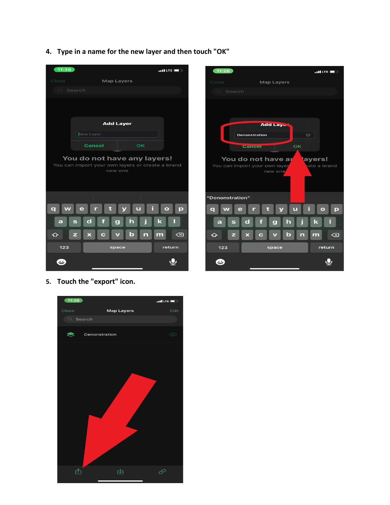**4. Type in a name for the new layer and then touch "OK"**





**5. Touch the "export" icon.**

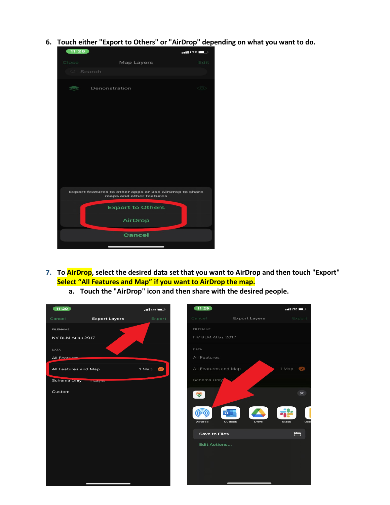**6. Touch either "Export to Others" or "AirDrop" depending on what you want to do.**



- **7. To AirDrop, select the desired data set that you want to AirDrop and then touch "Export" Select "All Features and Map" if you want to AirDrop the map.**
	- **a. Touch the "AirDrop" icon and then share with the desired people.**